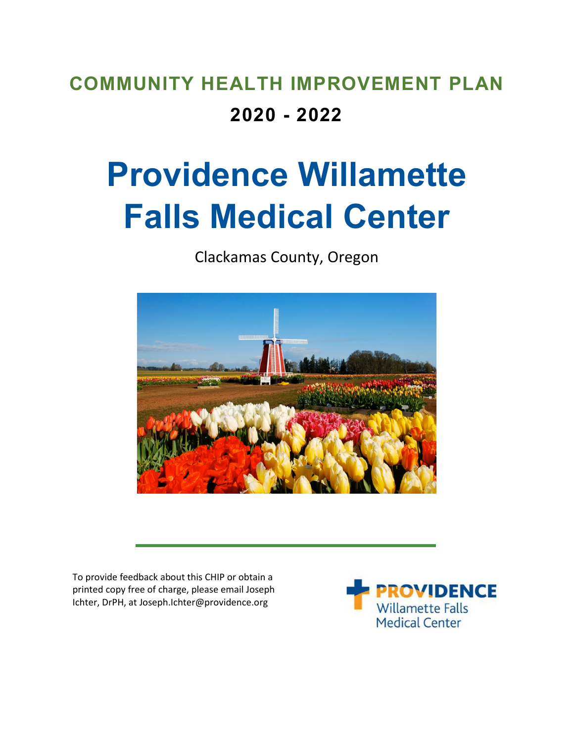# **COMMUNITY HEALTH IMPROVEMENT PLAN 2020 - 2022**

# **Providence Willamette Falls Medical Center**

Clackamas County, Oregon



To provide feedback about this CHIP or obtain a printed copy free of charge, please email Joseph Ichter, DrPH, at Joseph.Ichter@providence.org

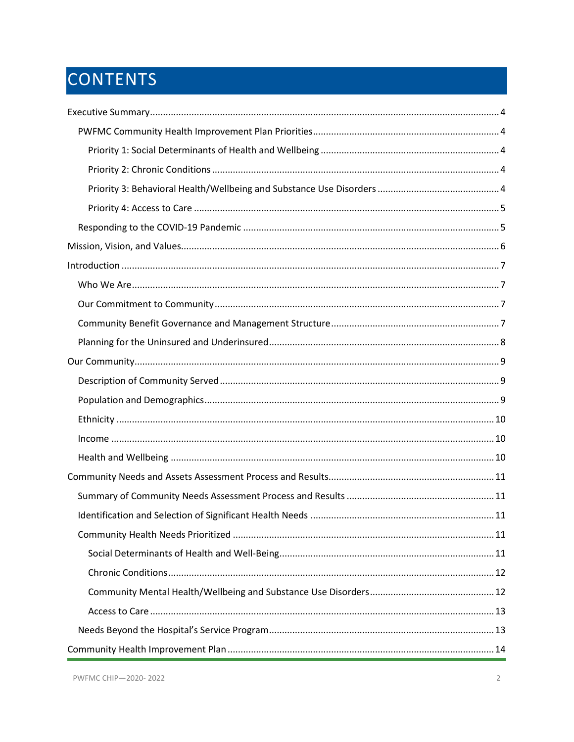# CONTENTS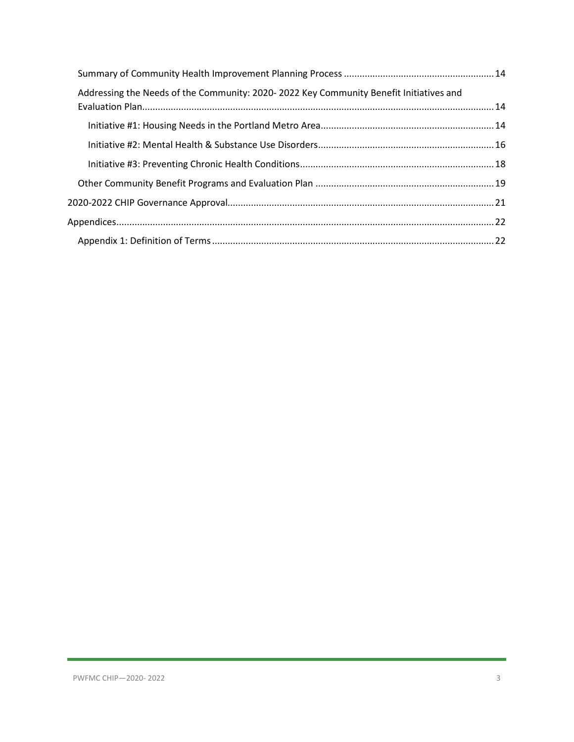| Addressing the Needs of the Community: 2020-2022 Key Community Benefit Initiatives and |  |
|----------------------------------------------------------------------------------------|--|
|                                                                                        |  |
|                                                                                        |  |
|                                                                                        |  |
|                                                                                        |  |
|                                                                                        |  |
|                                                                                        |  |
|                                                                                        |  |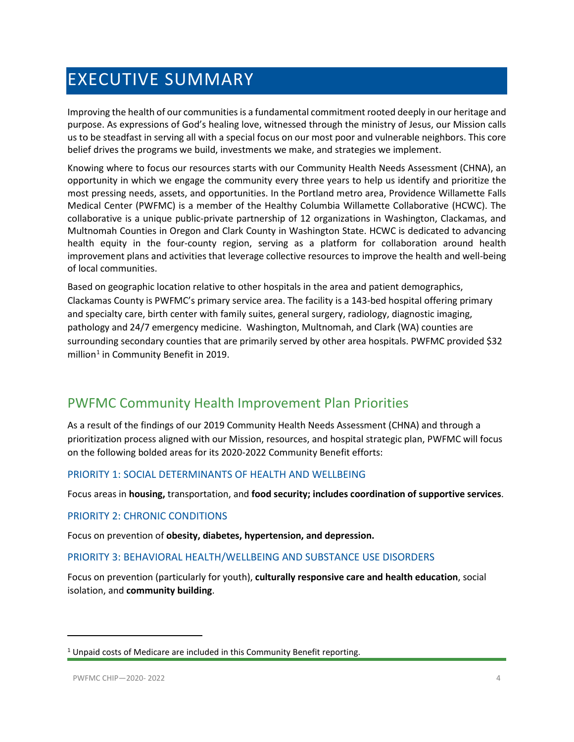# <span id="page-3-0"></span>EXECUTIVE SUMMARY

Improving the health of our communities is a fundamental commitment rooted deeply in our heritage and purpose. As expressions of God's healing love, witnessed through the ministry of Jesus, our Mission calls us to be steadfast in serving all with a special focus on our most poor and vulnerable neighbors. This core belief drives the programs we build, investments we make, and strategies we implement.

Knowing where to focus our resources starts with our Community Health Needs Assessment (CHNA), an opportunity in which we engage the community every three years to help us identify and prioritize the most pressing needs, assets, and opportunities. In the Portland metro area, Providence Willamette Falls Medical Center (PWFMC) is a member of the Healthy Columbia Willamette Collaborative (HCWC). The collaborative is a unique public-private partnership of 12 organizations in Washington, Clackamas, and Multnomah Counties in Oregon and Clark County in Washington State. HCWC is dedicated to advancing health equity in the four-county region, serving as a platform for collaboration around health improvement plans and activities that leverage collective resources to improve the health and well-being of local communities.

Based on geographic location relative to other hospitals in the area and patient demographics, Clackamas County is PWFMC's primary service area. The facility is a 143-bed hospital offering primary and specialty care, birth center with family suites, general surgery, radiology, diagnostic imaging, pathology and 24/7 emergency medicine. Washington, Multnomah, and Clark (WA) counties are surrounding secondary counties that are primarily served by other area hospitals. PWFMC provided \$32 million<sup>[1](#page-3-5)</sup> in Community Benefit in 2019.

### <span id="page-3-1"></span>PWFMC Community Health Improvement Plan Priorities

As a result of the findings of our 2019 Community Health Needs Assessment (CHNA) and through a prioritization process aligned with our Mission, resources, and hospital strategic plan, PWFMC will focus on the following bolded areas for its 2020-2022 Community Benefit efforts:

#### <span id="page-3-2"></span>PRIORITY 1: SOCIAL DETERMINANTS OF HEALTH AND WELLBEING

Focus areas in **housing,** transportation, and **food security; includes coordination of supportive services**.

#### <span id="page-3-3"></span>PRIORITY 2: CHRONIC CONDITIONS

Focus on prevention of **obesity, diabetes, hypertension, and depression.**

#### <span id="page-3-4"></span>PRIORITY 3: BEHAVIORAL HEALTH/WELLBEING AND SUBSTANCE USE DISORDERS

Focus on prevention (particularly for youth), **culturally responsive care and health education**, social isolation, and **community building**.

 $\overline{\phantom{a}}$ 

<span id="page-3-5"></span><sup>&</sup>lt;sup>1</sup> Unpaid costs of Medicare are included in this Community Benefit reporting.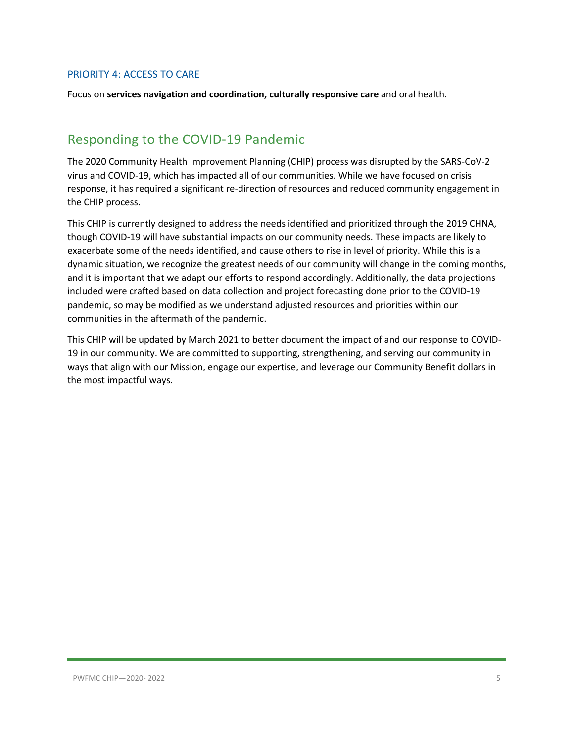#### <span id="page-4-0"></span>PRIORITY 4: ACCESS TO CARE

Focus on **services navigation and coordination, culturally responsive care** and oral health.

# <span id="page-4-1"></span>Responding to the COVID-19 Pandemic

The 2020 Community Health Improvement Planning (CHIP) process was disrupted by the SARS-CoV-2 virus and COVID-19, which has impacted all of our communities. While we have focused on crisis response, it has required a significant re-direction of resources and reduced community engagement in the CHIP process.

This CHIP is currently designed to address the needs identified and prioritized through the 2019 CHNA, though COVID-19 will have substantial impacts on our community needs. These impacts are likely to exacerbate some of the needs identified, and cause others to rise in level of priority. While this is a dynamic situation, we recognize the greatest needs of our community will change in the coming months, and it is important that we adapt our efforts to respond accordingly. Additionally, the data projections included were crafted based on data collection and project forecasting done prior to the COVID-19 pandemic, so may be modified as we understand adjusted resources and priorities within our communities in the aftermath of the pandemic.

This CHIP will be updated by March 2021 to better document the impact of and our response to COVID-19 in our community. We are committed to supporting, strengthening, and serving our community in ways that align with our Mission, engage our expertise, and leverage our Community Benefit dollars in the most impactful ways.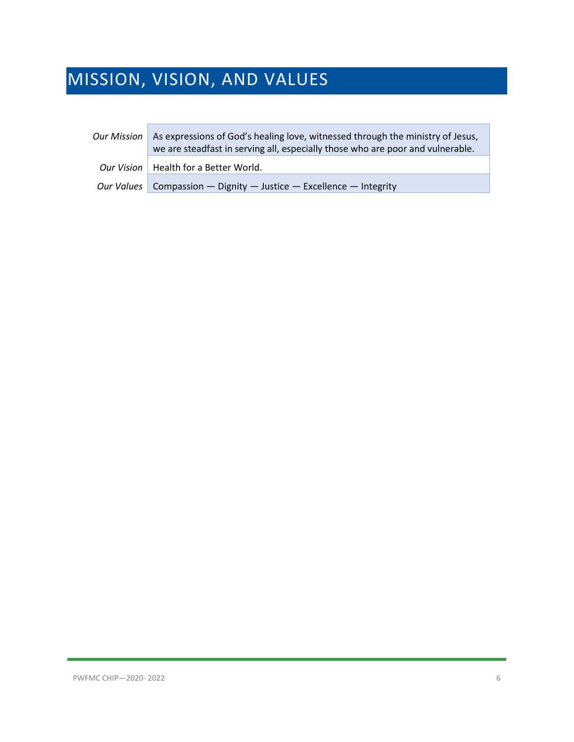# <span id="page-5-0"></span>MISSION, VISION, AND VALUES

| <b>Our Mission</b> | As expressions of God's healing love, witnessed through the ministry of Jesus,<br>we are steadfast in serving all, especially those who are poor and vulnerable. |
|--------------------|------------------------------------------------------------------------------------------------------------------------------------------------------------------|
|                    | Our Vision   Health for a Better World.                                                                                                                          |
|                    | Our Values   Compassion — Dignity — Justice — Excellence — Integrity                                                                                             |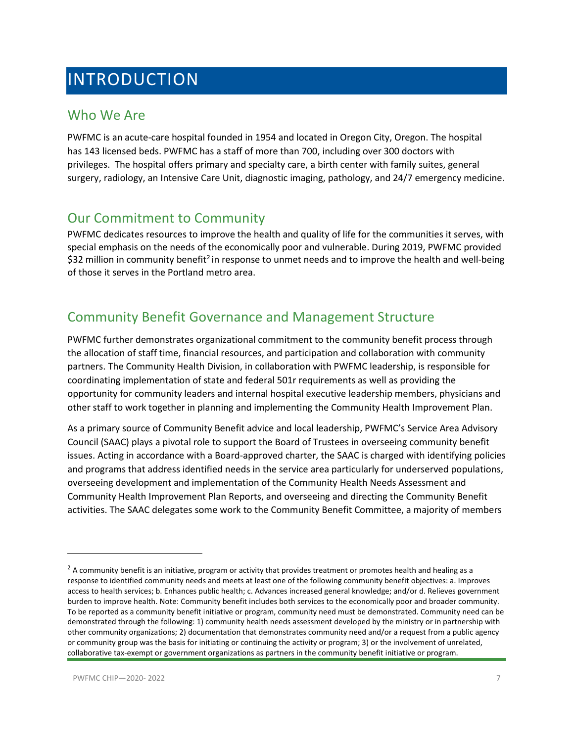# <span id="page-6-0"></span>INTRODUCTION

### <span id="page-6-1"></span>Who We Are

PWFMC is an acute-care hospital founded in 1954 and located in Oregon City, Oregon. The hospital has 143 licensed beds. PWFMC has a staff of more than 700, including over 300 doctors with privileges. The hospital offers primary and specialty care, a birth center with family suites, general surgery, radiology, an Intensive Care Unit, diagnostic imaging, pathology, and 24/7 emergency medicine.

### <span id="page-6-2"></span>Our Commitment to Community

PWFMC dedicates resources to improve the health and quality of life for the communities it serves, with special emphasis on the needs of the economically poor and vulnerable. During 2019, PWFMC provided \$3[2](#page-6-4) million in community benefit<sup>2</sup> in response to unmet needs and to improve the health and well-being of those it serves in the Portland metro area.

# <span id="page-6-3"></span>Community Benefit Governance and Management Structure

PWFMC further demonstrates organizational commitment to the community benefit process through the allocation of staff time, financial resources, and participation and collaboration with community partners. The Community Health Division, in collaboration with PWFMC leadership, is responsible for coordinating implementation of state and federal 501r requirements as well as providing the opportunity for community leaders and internal hospital executive leadership members, physicians and other staff to work together in planning and implementing the Community Health Improvement Plan.

As a primary source of Community Benefit advice and local leadership, PWFMC's Service Area Advisory Council (SAAC) plays a pivotal role to support the Board of Trustees in overseeing community benefit issues. Acting in accordance with a Board-approved charter, the SAAC is charged with identifying policies and programs that address identified needs in the service area particularly for underserved populations, overseeing development and implementation of the Community Health Needs Assessment and Community Health Improvement Plan Reports, and overseeing and directing the Community Benefit activities. The SAAC delegates some work to the Community Benefit Committee, a majority of members

 $\overline{\phantom{a}}$ 

<span id="page-6-4"></span> $<sup>2</sup>$  A community benefit is an initiative, program or activity that provides treatment or promotes health and healing as a</sup> response to identified community needs and meets at least one of the following community benefit objectives: a. Improves access to health services; b. Enhances public health; c. Advances increased general knowledge; and/or d. Relieves government burden to improve health. Note: Community benefit includes both services to the economically poor and broader community. To be reported as a community benefit initiative or program, community need must be demonstrated. Community need can be demonstrated through the following: 1) community health needs assessment developed by the ministry or in partnership with other community organizations; 2) documentation that demonstrates community need and/or a request from a public agency or community group was the basis for initiating or continuing the activity or program; 3) or the involvement of unrelated, collaborative tax-exempt or government organizations as partners in the community benefit initiative or program.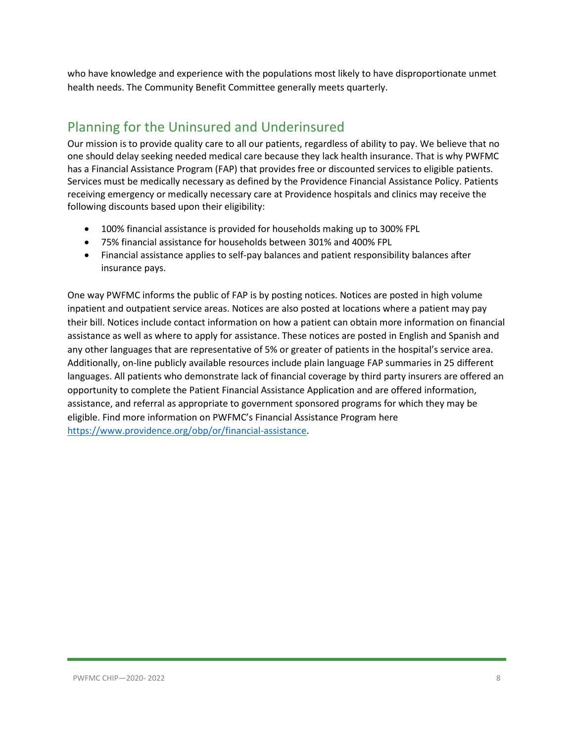who have knowledge and experience with the populations most likely to have disproportionate unmet health needs. The Community Benefit Committee generally meets quarterly.

# <span id="page-7-0"></span>Planning for the Uninsured and Underinsured

Our mission is to provide quality care to all our patients, regardless of ability to pay. We believe that no one should delay seeking needed medical care because they lack health insurance. That is why PWFMC has a Financial Assistance Program (FAP) that provides free or discounted services to eligible patients. Services must be medically necessary as defined by the Providence Financial Assistance Policy. Patients receiving emergency or medically necessary care at Providence hospitals and clinics may receive the following discounts based upon their eligibility:

- 100% financial assistance is provided for households making up to 300% FPL
- 75% financial assistance for households between 301% and 400% FPL
- Financial assistance applies to self-pay balances and patient responsibility balances after insurance pays.

One way PWFMC informs the public of FAP is by posting notices. Notices are posted in high volume inpatient and outpatient service areas. Notices are also posted at locations where a patient may pay their bill. Notices include contact information on how a patient can obtain more information on financial assistance as well as where to apply for assistance. These notices are posted in English and Spanish and any other languages that are representative of 5% or greater of patients in the hospital's service area. Additionally, on-line publicly available resources include plain language FAP summaries in 25 different languages. All patients who demonstrate lack of financial coverage by third party insurers are offered an opportunity to complete the Patient Financial Assistance Application and are offered information, assistance, and referral as appropriate to government sponsored programs for which they may be eligible. Find more information on PWFMC's Financial Assistance Program here [https://www.providence.org/obp/or/financial-assistance.](https://www.providence.org/obp/or/financial-assistance)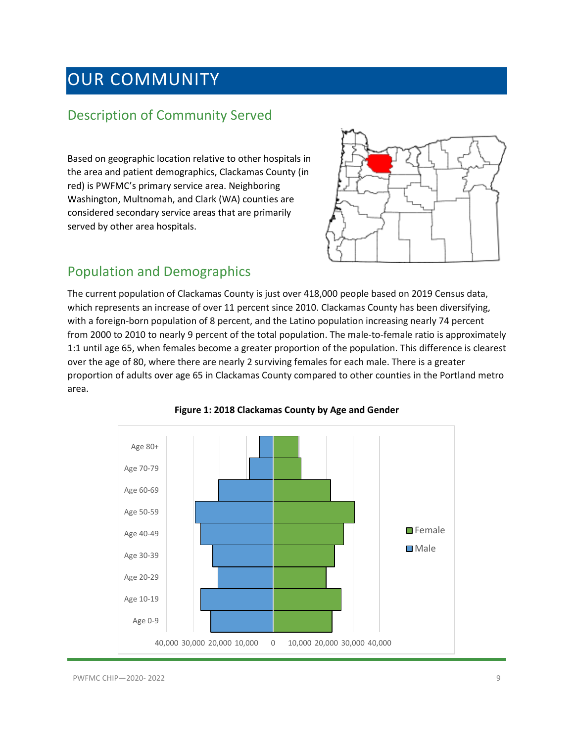# <span id="page-8-0"></span>OUR COMMUNITY

### <span id="page-8-1"></span>Description of Community Served

Based on geographic location relative to other hospitals in the area and patient demographics, Clackamas County (in red) is PWFMC's primary service area. Neighboring Washington, Multnomah, and Clark (WA) counties are considered secondary service areas that are primarily served by other area hospitals.



### <span id="page-8-2"></span>Population and Demographics

The current population of Clackamas County is just over 418,000 people based on 2019 Census data, which represents an increase of over 11 percent since 2010. Clackamas County has been diversifying, with a foreign-born population of 8 percent, and the Latino population increasing nearly 74 percent from 2000 to 2010 to nearly 9 percent of the total population. The male-to-female ratio is approximately 1:1 until age 65, when females become a greater proportion of the population. This difference is clearest over the age of 80, where there are nearly 2 surviving females for each male. There is a greater proportion of adults over age 65 in Clackamas County compared to other counties in the Portland metro area.



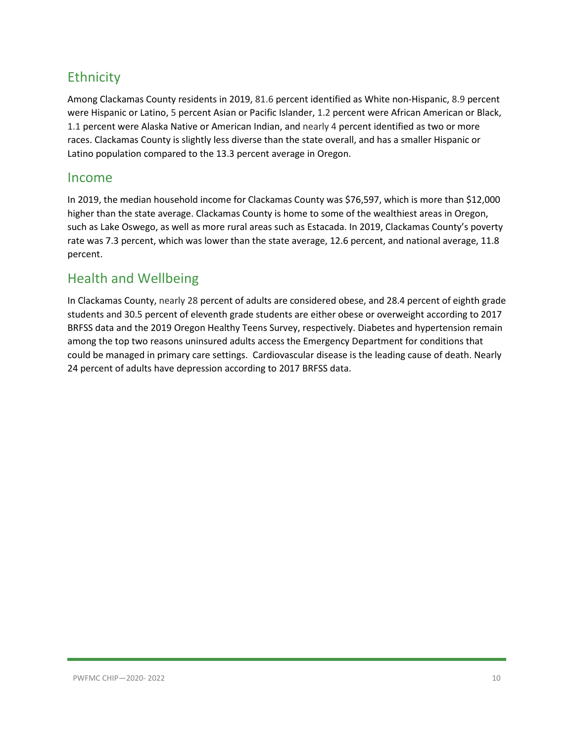# <span id="page-9-0"></span>**Ethnicity**

Among Clackamas County residents in 2019, 81.6 percent identified as White non-Hispanic, 8.9 percent were Hispanic or Latino, 5 percent Asian or Pacific Islander, 1.2 percent were African American or Black, 1.1 percent were Alaska Native or American Indian, and nearly 4 percent identified as two or more races. Clackamas County is slightly less diverse than the state overall, and has a smaller Hispanic or Latino population compared to the 13.3 percent average in Oregon.

#### <span id="page-9-1"></span>Income

In 2019, the median household income for Clackamas County was \$76,597, which is more than \$12,000 higher than the state average. Clackamas County is home to some of the wealthiest areas in Oregon, such as Lake Oswego, as well as more rural areas such as Estacada. In 2019, Clackamas County's poverty rate was 7.3 percent, which was lower than the state average, 12.6 percent, and national average, 11.8 percent.

### <span id="page-9-2"></span>Health and Wellbeing

In Clackamas County, nearly 28 percent of adults are considered obese, and 28.4 percent of eighth grade students and 30.5 percent of eleventh grade students are either obese or overweight according to 2017 BRFSS data and the 2019 Oregon Healthy Teens Survey, respectively. Diabetes and hypertension remain among the top two reasons uninsured adults access the Emergency Department for conditions that could be managed in primary care settings. Cardiovascular disease is the leading cause of death. Nearly 24 percent of adults have depression according to 2017 BRFSS data.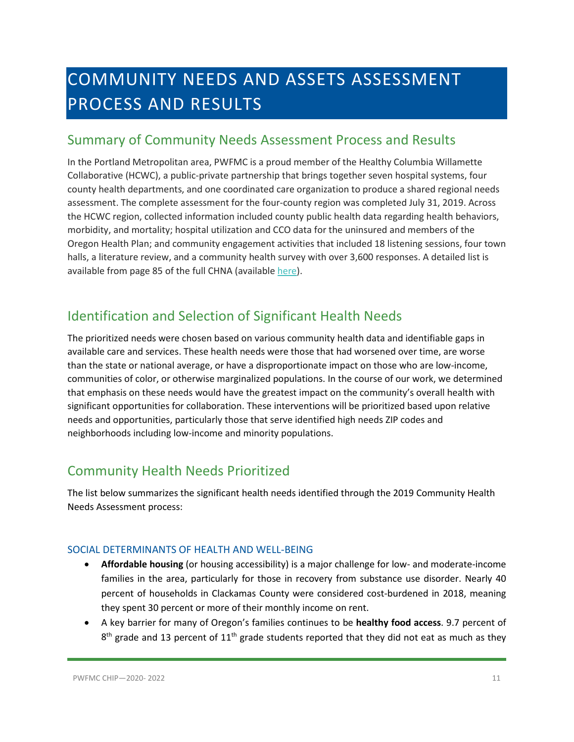# <span id="page-10-0"></span>COMMUNITY NEEDS AND ASSETS ASSESSMENT PROCESS AND RESULTS

### <span id="page-10-1"></span>Summary of Community Needs Assessment Process and Results

In the Portland Metropolitan area, PWFMC is a proud member of the Healthy Columbia Willamette Collaborative (HCWC), a public-private partnership that brings together seven hospital systems, four county health departments, and one coordinated care organization to produce a shared regional needs assessment. The complete assessment for the four-county region was completed July 31, 2019. Across the HCWC region, collected information included county public health data regarding health behaviors, morbidity, and mortality; hospital utilization and CCO data for the uninsured and members of the Oregon Health Plan; and community engagement activities that included 18 listening sessions, four town halls, a literature review, and a community health survey with over 3,600 responses. A detailed list is available from page 85 of the full CHNA (available [here\)](https://comagine.org/sites/default/files/resources/HCWC-Community-Health-Needs-Assessment-Report-July2019_0.pdf).

# <span id="page-10-2"></span>Identification and Selection of Significant Health Needs

The prioritized needs were chosen based on various community health data and identifiable gaps in available care and services. These health needs were those that had worsened over time, are worse than the state or national average, or have a disproportionate impact on those who are low-income, communities of color, or otherwise marginalized populations. In the course of our work, we determined that emphasis on these needs would have the greatest impact on the community's overall health with significant opportunities for collaboration. These interventions will be prioritized based upon relative needs and opportunities, particularly those that serve identified high needs ZIP codes and neighborhoods including low-income and minority populations.

# <span id="page-10-3"></span>Community Health Needs Prioritized

The list below summarizes the significant health needs identified through the 2019 Community Health Needs Assessment process:

#### <span id="page-10-4"></span>SOCIAL DETERMINANTS OF HEALTH AND WELL-BEING

- **Affordable housing** (or housing accessibility) is a major challenge for low- and moderate-income families in the area, particularly for those in recovery from substance use disorder. Nearly 40 percent of households in Clackamas County were considered cost-burdened in 2018, meaning they spent 30 percent or more of their monthly income on rent.
- A key barrier for many of Oregon's families continues to be **healthy food access**. 9.7 percent of  $8<sup>th</sup>$  grade and 13 percent of 11<sup>th</sup> grade students reported that they did not eat as much as they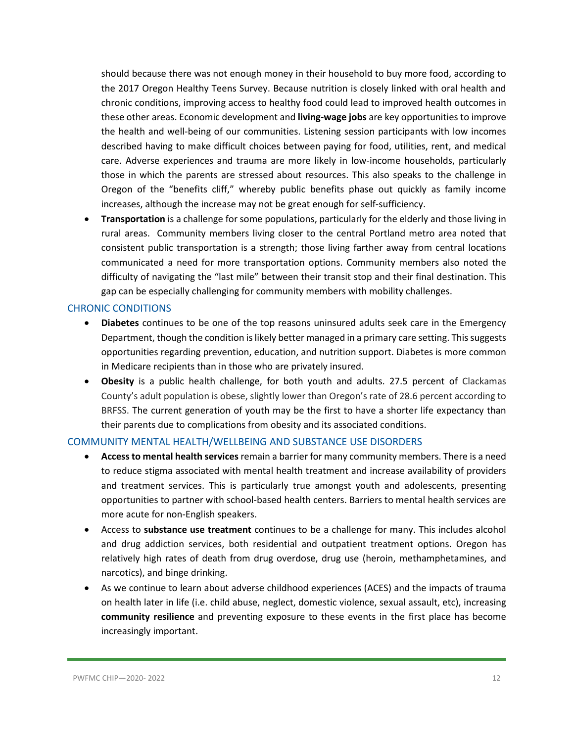should because there was not enough money in their household to buy more food, according to the 2017 Oregon Healthy Teens Survey. Because nutrition is closely linked with oral health and chronic conditions, improving access to healthy food could lead to improved health outcomes in these other areas. Economic development and **living-wage jobs** are key opportunities to improve the health and well-being of our communities. Listening session participants with low incomes described having to make difficult choices between paying for food, utilities, rent, and medical care. Adverse experiences and trauma are more likely in low-income households, particularly those in which the parents are stressed about resources. This also speaks to the challenge in Oregon of the "benefits cliff," whereby public benefits phase out quickly as family income increases, although the increase may not be great enough for self-sufficiency.

• **Transportation** is a challenge for some populations, particularly for the elderly and those living in rural areas. Community members living closer to the central Portland metro area noted that consistent public transportation is a strength; those living farther away from central locations communicated a need for more transportation options. Community members also noted the difficulty of navigating the "last mile" between their transit stop and their final destination. This gap can be especially challenging for community members with mobility challenges.

#### <span id="page-11-0"></span>CHRONIC CONDITIONS

- **Diabetes** continues to be one of the top reasons uninsured adults seek care in the Emergency Department, though the condition is likely better managed in a primary care setting. This suggests opportunities regarding prevention, education, and nutrition support. Diabetes is more common in Medicare recipients than in those who are privately insured.
- **Obesity** is a public health challenge, for both youth and adults. 27.5 percent of Clackamas County's adult population is obese, slightly lower than Oregon's rate of 28.6 percent according to BRFSS. The current generation of youth may be the first to have a shorter life expectancy than their parents due to complications from obesity and its associated conditions.

#### <span id="page-11-1"></span>COMMUNITY MENTAL HEALTH/WELLBEING AND SUBSTANCE USE DISORDERS

- **Access to mental health services**remain a barrier for many community members. There is a need to reduce stigma associated with mental health treatment and increase availability of providers and treatment services. This is particularly true amongst youth and adolescents, presenting opportunities to partner with school-based health centers. Barriers to mental health services are more acute for non-English speakers.
- Access to **substance use treatment** continues to be a challenge for many. This includes alcohol and drug addiction services, both residential and outpatient treatment options. Oregon has relatively high rates of death from drug overdose, drug use (heroin, methamphetamines, and narcotics), and binge drinking.
- As we continue to learn about adverse childhood experiences (ACES) and the impacts of trauma on health later in life (i.e. child abuse, neglect, domestic violence, sexual assault, etc), increasing **community resilience** and preventing exposure to these events in the first place has become increasingly important.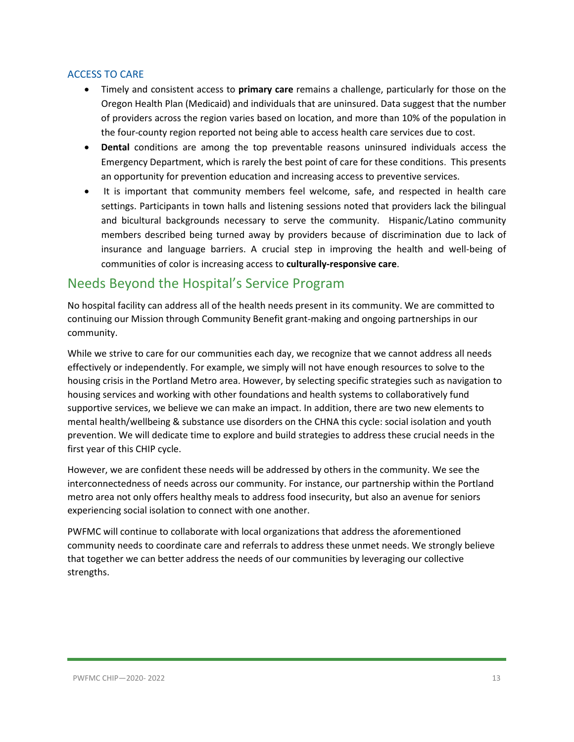#### <span id="page-12-0"></span>ACCESS TO CARE

- Timely and consistent access to **primary care** remains a challenge, particularly for those on the Oregon Health Plan (Medicaid) and individuals that are uninsured. Data suggest that the number of providers across the region varies based on location, and more than 10% of the population in the four-county region reported not being able to access health care services due to cost.
- **Dental** conditions are among the top preventable reasons uninsured individuals access the Emergency Department, which is rarely the best point of care for these conditions. This presents an opportunity for prevention education and increasing access to preventive services.
- It is important that community members feel welcome, safe, and respected in health care settings. Participants in town halls and listening sessions noted that providers lack the bilingual and bicultural backgrounds necessary to serve the community. Hispanic/Latino community members described being turned away by providers because of discrimination due to lack of insurance and language barriers. A crucial step in improving the health and well-being of communities of color is increasing access to **culturally-responsive care**.

### <span id="page-12-1"></span>Needs Beyond the Hospital's Service Program

No hospital facility can address all of the health needs present in its community. We are committed to continuing our Mission through Community Benefit grant-making and ongoing partnerships in our community.

While we strive to care for our communities each day, we recognize that we cannot address all needs effectively or independently. For example, we simply will not have enough resources to solve to the housing crisis in the Portland Metro area. However, by selecting specific strategies such as navigation to housing services and working with other foundations and health systems to collaboratively fund supportive services, we believe we can make an impact. In addition, there are two new elements to mental health/wellbeing & substance use disorders on the CHNA this cycle: social isolation and youth prevention. We will dedicate time to explore and build strategies to address these crucial needs in the first year of this CHIP cycle.

However, we are confident these needs will be addressed by others in the community. We see the interconnectedness of needs across our community. For instance, our partnership within the Portland metro area not only offers healthy meals to address food insecurity, but also an avenue for seniors experiencing social isolation to connect with one another.

PWFMC will continue to collaborate with local organizations that address the aforementioned community needs to coordinate care and referrals to address these unmet needs. We strongly believe that together we can better address the needs of our communities by leveraging our collective strengths.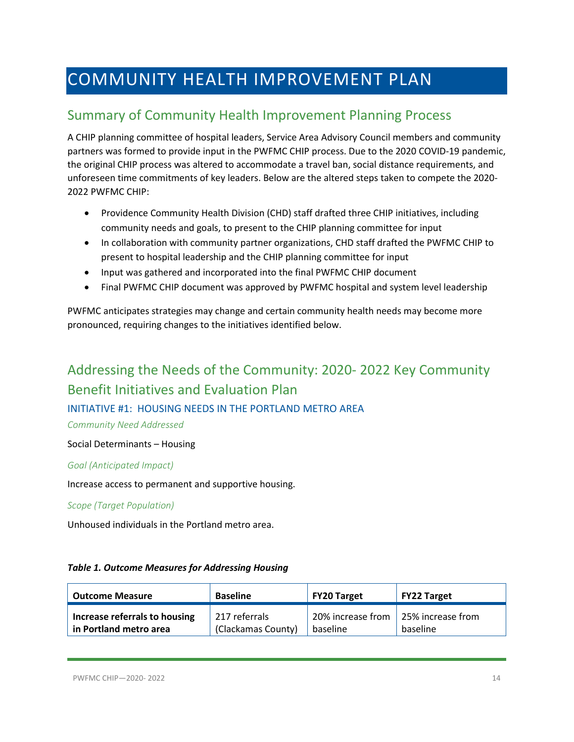# <span id="page-13-0"></span>COMMUNITY HEALTH IMPROVEMENT PLAN

# <span id="page-13-1"></span>Summary of Community Health Improvement Planning Process

A CHIP planning committee of hospital leaders, Service Area Advisory Council members and community partners was formed to provide input in the PWFMC CHIP process. Due to the 2020 COVID-19 pandemic, the original CHIP process was altered to accommodate a travel ban, social distance requirements, and unforeseen time commitments of key leaders. Below are the altered steps taken to compete the 2020- 2022 PWFMC CHIP:

- Providence Community Health Division (CHD) staff drafted three CHIP initiatives, including community needs and goals, to present to the CHIP planning committee for input
- In collaboration with community partner organizations, CHD staff drafted the PWFMC CHIP to present to hospital leadership and the CHIP planning committee for input
- Input was gathered and incorporated into the final PWFMC CHIP document
- Final PWFMC CHIP document was approved by PWFMC hospital and system level leadership

PWFMC anticipates strategies may change and certain community health needs may become more pronounced, requiring changes to the initiatives identified below.

# <span id="page-13-2"></span>Addressing the Needs of the Community: 2020- 2022 Key Community Benefit Initiatives and Evaluation Plan

#### <span id="page-13-3"></span>INITIATIVE #1: HOUSING NEEDS IN THE PORTLAND METRO AREA

*Community Need Addressed*

Social Determinants – Housing

#### *Goal (Anticipated Impact)*

Increase access to permanent and supportive housing.

#### *Scope (Target Population)*

Unhoused individuals in the Portland metro area.

#### *Table 1. Outcome Measures for Addressing Housing*

| <b>Outcome Measure</b>        | <b>Baseline</b>    | FY20 Target                         | <b>FY22 Target</b> |
|-------------------------------|--------------------|-------------------------------------|--------------------|
| Increase referrals to housing | 217 referrals      | 20% increase from 25% increase from |                    |
| in Portland metro area        | (Clackamas County) | baseline                            | baseline           |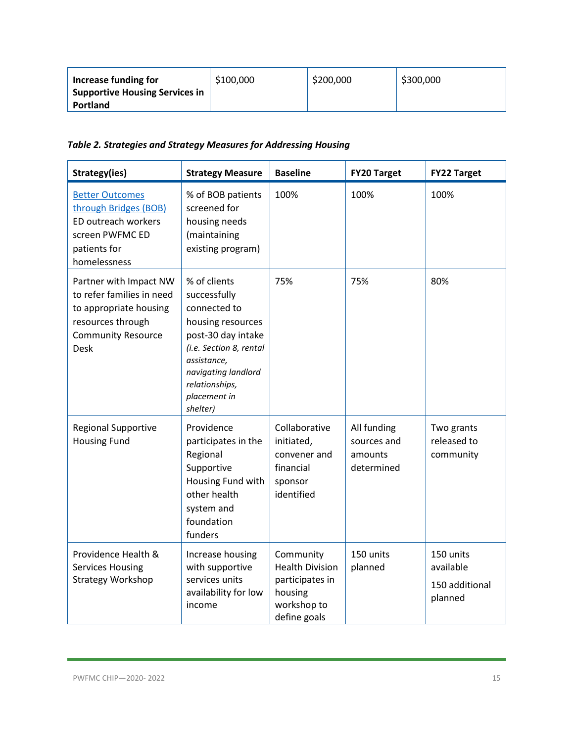| Increase funding for           | \$100,000 | \$200,000 | \$300,000 |
|--------------------------------|-----------|-----------|-----------|
| Supportive Housing Services in |           |           |           |
| <b>Portland</b>                |           |           |           |

*Table 2. Strategies and Strategy Measures for Addressing Housing*

| Strategy(ies)                                                                                                                           | <b>Strategy Measure</b>                                                                                                                                                                                | <b>Baseline</b>                                                                                  | <b>FY20 Target</b>                                  | <b>FY22 Target</b>                                  |
|-----------------------------------------------------------------------------------------------------------------------------------------|--------------------------------------------------------------------------------------------------------------------------------------------------------------------------------------------------------|--------------------------------------------------------------------------------------------------|-----------------------------------------------------|-----------------------------------------------------|
| <b>Better Outcomes</b><br>through Bridges (BOB)<br>ED outreach workers<br>screen PWFMC ED<br>patients for<br>homelessness               | % of BOB patients<br>screened for<br>housing needs<br>(maintaining<br>existing program)                                                                                                                | 100%                                                                                             | 100%                                                | 100%                                                |
| Partner with Impact NW<br>to refer families in need<br>to appropriate housing<br>resources through<br><b>Community Resource</b><br>Desk | % of clients<br>successfully<br>connected to<br>housing resources<br>post-30 day intake<br>(i.e. Section 8, rental<br>assistance,<br>navigating landlord<br>relationships,<br>placement in<br>shelter) | 75%                                                                                              | 75%                                                 | 80%                                                 |
| <b>Regional Supportive</b><br><b>Housing Fund</b>                                                                                       | Providence<br>participates in the<br>Regional<br>Supportive<br>Housing Fund with<br>other health<br>system and<br>foundation<br>funders                                                                | Collaborative<br>initiated,<br>convener and<br>financial<br>sponsor<br>identified                | All funding<br>sources and<br>amounts<br>determined | Two grants<br>released to<br>community              |
| Providence Health &<br><b>Services Housing</b><br><b>Strategy Workshop</b>                                                              | Increase housing<br>with supportive<br>services units<br>availability for low<br>income                                                                                                                | Community<br><b>Health Division</b><br>participates in<br>housing<br>workshop to<br>define goals | 150 units<br>planned                                | 150 units<br>available<br>150 additional<br>planned |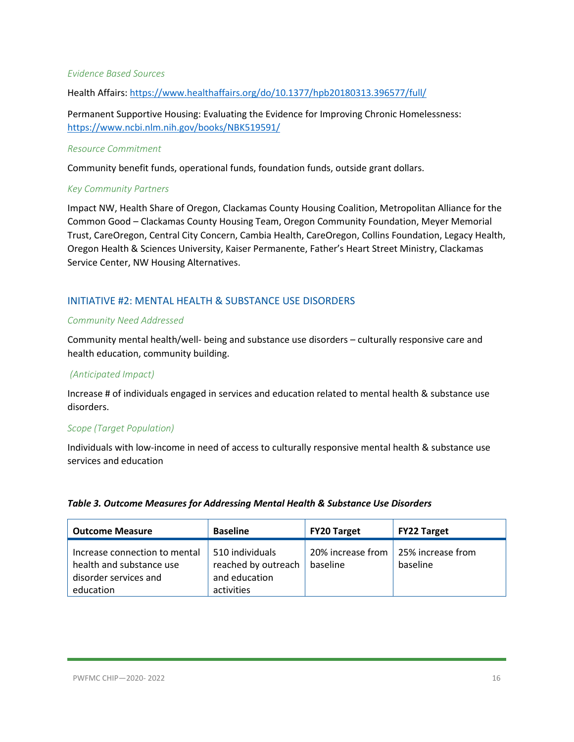#### *Evidence Based Sources*

Health Affairs[: https://www.healthaffairs.org/do/10.1377/hpb20180313.396577/full/](https://www.healthaffairs.org/do/10.1377/hpb20180313.396577/full/)

Permanent Supportive Housing: Evaluating the Evidence for Improving Chronic Homelessness: <https://www.ncbi.nlm.nih.gov/books/NBK519591/>

#### *Resource Commitment*

Community benefit funds, operational funds, foundation funds, outside grant dollars.

#### *Key Community Partners*

Impact NW, Health Share of Oregon, Clackamas County Housing Coalition, Metropolitan Alliance for the Common Good – Clackamas County Housing Team, Oregon Community Foundation, Meyer Memorial Trust, CareOregon, Central City Concern, Cambia Health, CareOregon, Collins Foundation, Legacy Health, Oregon Health & Sciences University, Kaiser Permanente, Father's Heart Street Ministry, Clackamas Service Center, NW Housing Alternatives.

#### <span id="page-15-0"></span>INITIATIVE #2: MENTAL HEALTH & SUBSTANCE USE DISORDERS

#### *Community Need Addressed*

Community mental health/well- being and substance use disorders – culturally responsive care and health education, community building.

#### *(Anticipated Impact)*

Increase # of individuals engaged in services and education related to mental health & substance use disorders.

#### *Scope (Target Population)*

Individuals with low-income in need of access to culturally responsive mental health & substance use services and education

#### *Table 3. Outcome Measures for Addressing Mental Health & Substance Use Disorders*

| <b>Outcome Measure</b>                                                                          | <b>Baseline</b>                                                       | <b>FY20 Target</b>            | <b>FY22 Target</b>            |
|-------------------------------------------------------------------------------------------------|-----------------------------------------------------------------------|-------------------------------|-------------------------------|
| Increase connection to mental<br>health and substance use<br>disorder services and<br>education | 510 individuals<br>reached by outreach<br>and education<br>activities | 20% increase from<br>baseline | 25% increase from<br>baseline |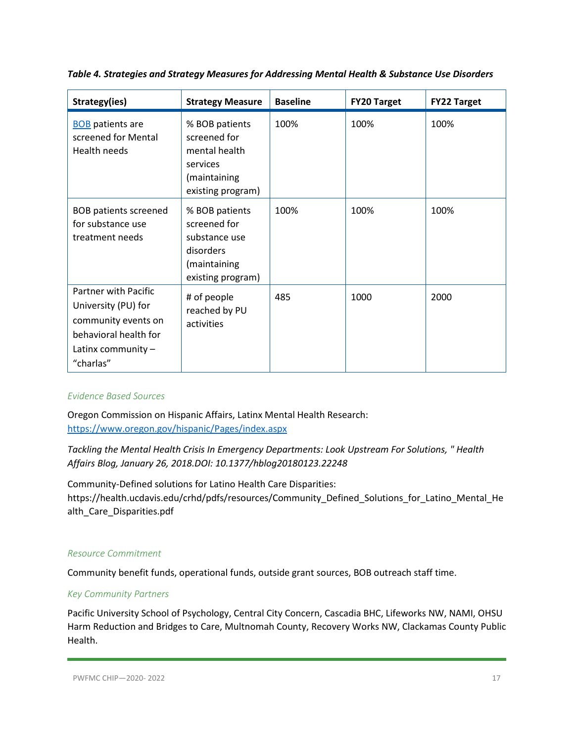| Strategy(ies)                                                                                                                           | <b>Strategy Measure</b>                                                                           | <b>Baseline</b> | <b>FY20 Target</b> | <b>FY22 Target</b> |
|-----------------------------------------------------------------------------------------------------------------------------------------|---------------------------------------------------------------------------------------------------|-----------------|--------------------|--------------------|
| <b>BOB</b> patients are<br>screened for Mental<br>Health needs                                                                          | % BOB patients<br>screened for<br>mental health<br>services<br>(maintaining<br>existing program)  | 100%            | 100%               | 100%               |
| <b>BOB patients screened</b><br>for substance use<br>treatment needs                                                                    | % BOB patients<br>screened for<br>substance use<br>disorders<br>(maintaining<br>existing program) | 100%            | 100%               | 100%               |
| <b>Partner with Pacific</b><br>University (PU) for<br>community events on<br>behavioral health for<br>Latinx community $-$<br>"charlas" | # of people<br>reached by PU<br>activities                                                        | 485             | 1000               | 2000               |

*Table 4. Strategies and Strategy Measures for Addressing Mental Health & Substance Use Disorders*

#### *Evidence Based Sources*

Oregon Commission on Hispanic Affairs, Latinx Mental Health Research: <https://www.oregon.gov/hispanic/Pages/index.aspx>

*Tackling the Mental Health Crisis In Emergency Departments: Look Upstream For Solutions, " Health Affairs Blog, January 26, 2018.DOI: 10.1377/hblog20180123.22248*

Community-Defined solutions for Latino Health Care Disparities: https://health.ucdavis.edu/crhd/pdfs/resources/Community\_Defined\_Solutions\_for\_Latino\_Mental\_He alth\_Care\_Disparities.pdf

#### *Resource Commitment*

Community benefit funds, operational funds, outside grant sources, BOB outreach staff time.

#### *Key Community Partners*

Pacific University School of Psychology, Central City Concern, Cascadia BHC, Lifeworks NW, NAMI, OHSU Harm Reduction and Bridges to Care, Multnomah County, Recovery Works NW, Clackamas County Public Health.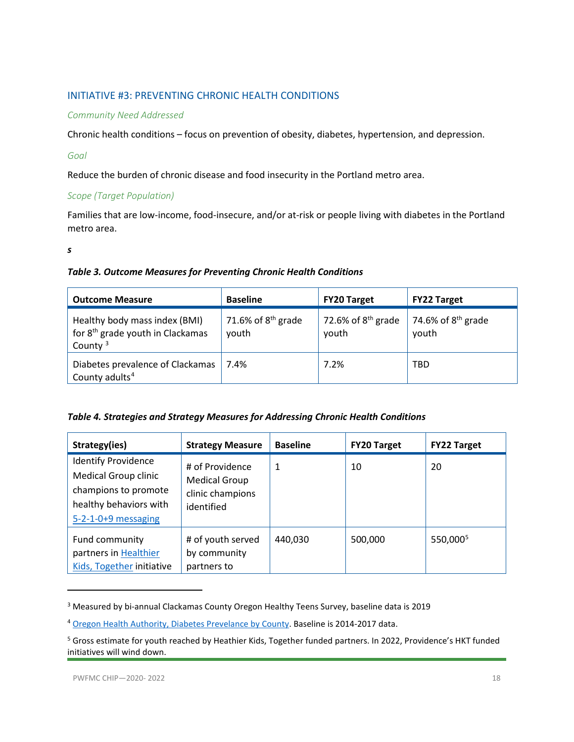#### <span id="page-17-0"></span>INITIATIVE #3: PREVENTING CHRONIC HEALTH CONDITIONS

#### *Community Need Addressed*

Chronic health conditions – focus on prevention of obesity, diabetes, hypertension, and depression.

#### *Goal*

Reduce the burden of chronic disease and food insecurity in the Portland metro area.

#### *Scope (Target Population)*

Families that are low-income, food-insecure, and/or at-risk or people living with diabetes in the Portland metro area.

*s*

#### *Table 3. Outcome Measures for Preventing Chronic Health Conditions*

| <b>Outcome Measure</b>                                                                      | <b>Baseline</b>               | <b>FY20 Target</b>            | <b>FY22 Target</b>            |
|---------------------------------------------------------------------------------------------|-------------------------------|-------------------------------|-------------------------------|
| Healthy body mass index (BMI)<br>for 8 <sup>th</sup> grade youth in Clackamas<br>County $3$ | 71.6% of $8th$ grade<br>youth | 72.6% of $8th$ grade<br>youth | 74.6% of $8th$ grade<br>youth |
| Diabetes prevalence of Clackamas<br>County adults <sup>4</sup>                              | 7.4%                          | 7.2%                          | TBD                           |

|  |  |  | Table 4. Strategies and Strategy Measures for Addressing Chronic Health Conditions |
|--|--|--|------------------------------------------------------------------------------------|
|--|--|--|------------------------------------------------------------------------------------|

| Strategy(ies)                                                                                                                        | <b>Strategy Measure</b>                                                   | <b>Baseline</b> | <b>FY20 Target</b> | <b>FY22 Target</b>   |
|--------------------------------------------------------------------------------------------------------------------------------------|---------------------------------------------------------------------------|-----------------|--------------------|----------------------|
| <b>Identify Providence</b><br><b>Medical Group clinic</b><br>champions to promote<br>healthy behaviors with<br>$5-2-1-0+9$ messaging | # of Providence<br><b>Medical Group</b><br>clinic champions<br>identified | 1               | 10                 | 20                   |
| Fund community<br>partners in Healthier<br>Kids, Together initiative                                                                 | # of youth served<br>by community<br>partners to                          | 440,030         | 500,000            | 550,000 <sup>5</sup> |

<span id="page-17-1"></span><sup>&</sup>lt;sup>3</sup> Measured by bi-annual Clackamas County Oregon Healthy Teens Survey, baseline data is 2019

l

<span id="page-17-2"></span><sup>4</sup> [Oregon Health Authority, Diabetes Prevelance by County.](https://www.oregon.gov/oha/PH/ABOUT/Documents/indicators/diabetesprev-county.pdf) Baseline is 2014-2017 data.

<span id="page-17-3"></span><sup>&</sup>lt;sup>5</sup> Gross estimate for youth reached by Heathier Kids, Together funded partners. In 2022, Providence's HKT funded initiatives will wind down.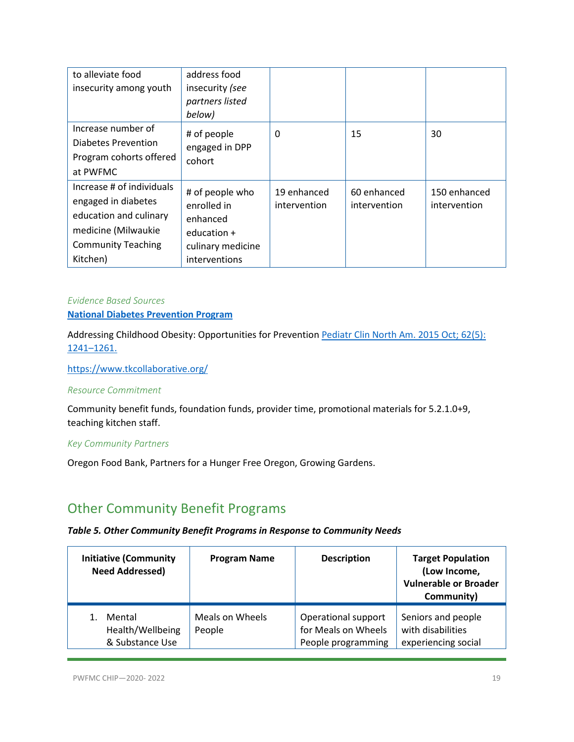| to alleviate food<br>insecurity among youth                                                                                                | address food<br>insecurity (see<br>partners listed<br>below)                                      |                             |                             |                              |
|--------------------------------------------------------------------------------------------------------------------------------------------|---------------------------------------------------------------------------------------------------|-----------------------------|-----------------------------|------------------------------|
| Increase number of<br><b>Diabetes Prevention</b><br>Program cohorts offered<br>at PWFMC                                                    | # of people<br>engaged in DPP<br>cohort                                                           | 0                           | 15                          | 30                           |
| Increase # of individuals<br>engaged in diabetes<br>education and culinary<br>medicine (Milwaukie<br><b>Community Teaching</b><br>Kitchen) | # of people who<br>enrolled in<br>enhanced<br>education $+$<br>culinary medicine<br>interventions | 19 enhanced<br>intervention | 60 enhanced<br>intervention | 150 enhanced<br>intervention |

#### *Evidence Based Sources* **[National Diabetes Prevention Program](https://www.cdc.gov/diabetes/prevention/index.html)**

Addressing Childhood Obesity: Opportunities for Prevention Pediatr Clin North Am. 2015 Oct; 62(5): [1241–1261.](https://www.ncbi.nlm.nih.gov/entrez/eutils/elink.fcgi?dbfrom=pubmed&retmode=ref&cmd=prlinks&id=26318950) 

<https://www.tkcollaborative.org/>

#### *Resource Commitment*

Community benefit funds, foundation funds, provider time, promotional materials for 5.2.1.0+9, teaching kitchen staff.

#### *Key Community Partners*

Oregon Food Bank, Partners for a Hunger Free Oregon, Growing Gardens.

### <span id="page-18-0"></span>Other Community Benefit Programs

#### *Table 5. Other Community Benefit Programs in Response to Community Needs*

| <b>Initiative (Community</b><br><b>Need Addressed)</b> | <b>Program Name</b>       | <b>Description</b>                                               | <b>Target Population</b><br>(Low Income,<br><b>Vulnerable or Broader</b><br>Community) |
|--------------------------------------------------------|---------------------------|------------------------------------------------------------------|----------------------------------------------------------------------------------------|
| Mental<br>Health/Wellbeing<br>& Substance Use          | Meals on Wheels<br>People | Operational support<br>for Meals on Wheels<br>People programming | Seniors and people<br>with disabilities<br>experiencing social                         |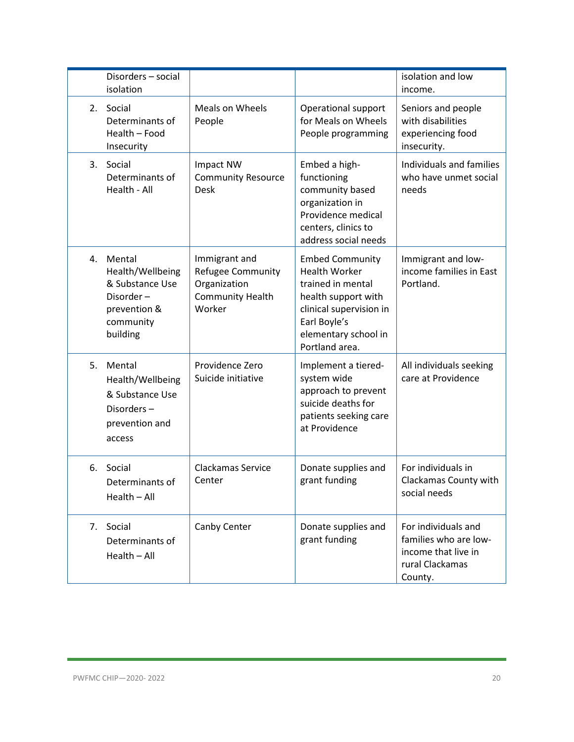|    | Disorders - social<br>isolation                                                                     |                                                                                         |                                                                                                                                                                                 | isolation and low<br>income.                                                                      |
|----|-----------------------------------------------------------------------------------------------------|-----------------------------------------------------------------------------------------|---------------------------------------------------------------------------------------------------------------------------------------------------------------------------------|---------------------------------------------------------------------------------------------------|
| 2. | Social<br>Determinants of<br>Health - Food<br>Insecurity                                            | Meals on Wheels<br>People                                                               | Operational support<br>for Meals on Wheels<br>People programming                                                                                                                | Seniors and people<br>with disabilities<br>experiencing food<br>insecurity.                       |
| 3. | Social<br>Determinants of<br>Health - All                                                           | Impact NW<br><b>Community Resource</b><br><b>Desk</b>                                   | Embed a high-<br>functioning<br>community based<br>organization in<br>Providence medical<br>centers, clinics to<br>address social needs                                         | Individuals and families<br>who have unmet social<br>needs                                        |
| 4. | Mental<br>Health/Wellbeing<br>& Substance Use<br>Disorder-<br>prevention &<br>community<br>building | Immigrant and<br>Refugee Community<br>Organization<br><b>Community Health</b><br>Worker | <b>Embed Community</b><br><b>Health Worker</b><br>trained in mental<br>health support with<br>clinical supervision in<br>Earl Boyle's<br>elementary school in<br>Portland area. | Immigrant and low-<br>income families in East<br>Portland.                                        |
| 5. | Mental<br>Health/Wellbeing<br>& Substance Use<br>Disorders-<br>prevention and<br>access             | Providence Zero<br>Suicide initiative                                                   | Implement a tiered-<br>system wide<br>approach to prevent<br>suicide deaths for<br>patients seeking care<br>at Providence                                                       | All individuals seeking<br>care at Providence                                                     |
| 6. | Social<br>Determinants of<br>Health - All                                                           | Clackamas Service<br>Center                                                             | Donate supplies and<br>grant funding                                                                                                                                            | For individuals in<br>Clackamas County with<br>social needs                                       |
| 7. | Social<br>Determinants of<br>$Health - All$                                                         | Canby Center                                                                            | Donate supplies and<br>grant funding                                                                                                                                            | For individuals and<br>families who are low-<br>income that live in<br>rural Clackamas<br>County. |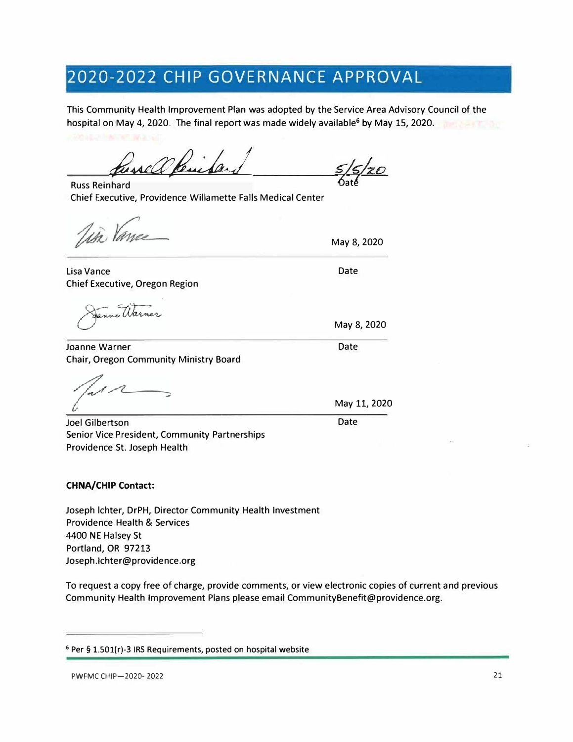# **2020-2022 CHIP GOVERNANCE APPROVAL**

This Community Health Improvement Plan was adopted by the Service Area Advisory Council of the hospital on May 4, 2020. The final report was made widely available<sup>6</sup> by May 15, 2020.

hessell Parida

Russ Reinhard Chief Executive, Providence Willamette Falls Medical Center

in Vance

Lisa Vance Chief Executive, Oregon Region

Joanne Warner Chair, Oregon Community Ministry Board

Joel Gilbertson Senior Vice President, Community Partnerships Providence St. Joseph Health

#### **CHNA/CHIP Contact:**

Joseph lchter, DrPH, Director Community Health Investment Providence Health & Services 4400 NE Halsey St Portland, OR 97213 Joseph.lchter@providence.org

To request a copy free of charge, provide comments, or view electronic copies of current and previous Community Health Improvement Plans please email CommunityBenefit@providence.org.

*6atl* 

May 8, 2020

Date

May 8, 2020

Date

May 11, 2020

Date

**<sup>6</sup>**Per§ 1.S0l(r)-3 IRS Requirements, posted on hospital website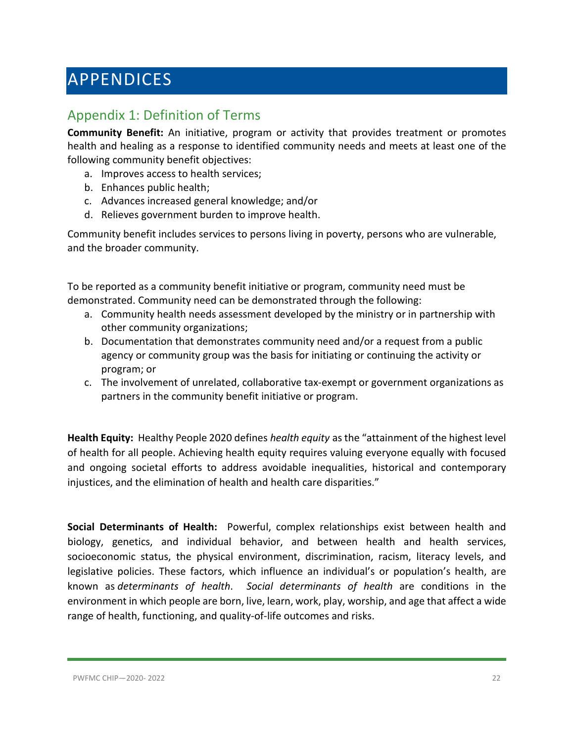# <span id="page-21-0"></span>APPENDICES

# <span id="page-21-1"></span>Appendix 1: Definition of Terms

**Community Benefit:** An initiative, program or activity that provides treatment or promotes health and healing as a response to identified community needs and meets at least one of the following community benefit objectives:

- a. Improves access to health services;
- b. Enhances public health;
- c. Advances increased general knowledge; and/or
- d. Relieves government burden to improve health.

Community benefit includes services to persons living in poverty, persons who are vulnerable, and the broader community.

To be reported as a community benefit initiative or program, community need must be demonstrated. Community need can be demonstrated through the following:

- a. Community health needs assessment developed by the ministry or in partnership with other community organizations;
- b. Documentation that demonstrates community need and/or a request from a public agency or community group was the basis for initiating or continuing the activity or program; or
- c. The involvement of unrelated, collaborative tax-exempt or government organizations as partners in the community benefit initiative or program.

**Health Equity:** Healthy People 2020 defines *health equity* as the "attainment of the highest level of health for all people. Achieving health equity requires valuing everyone equally with focused and ongoing societal efforts to address avoidable inequalities, historical and contemporary injustices, and the elimination of health and health care disparities."

**Social Determinants of Health:** Powerful, complex relationships exist between health and biology, genetics, and individual behavior, and between health and health services, socioeconomic status, the physical environment, discrimination, racism, literacy levels, and legislative policies. These factors, which influence an individual's or population's health, are known as *determinants of health*. *Social determinants of health* are conditions in the environment in which people are born, live, learn, work, play, worship, and age that affect a wide range of health, functioning, and quality-of-life outcomes and risks.